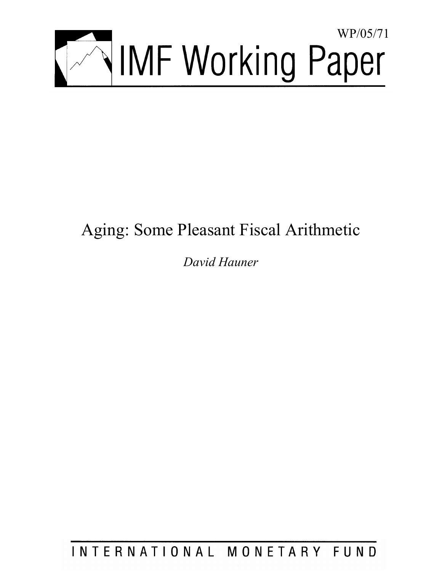

# Aging: Some Pleasant Fiscal Arithmetic

*David Hauner* 

INTERNATIONAL MONETARY FUND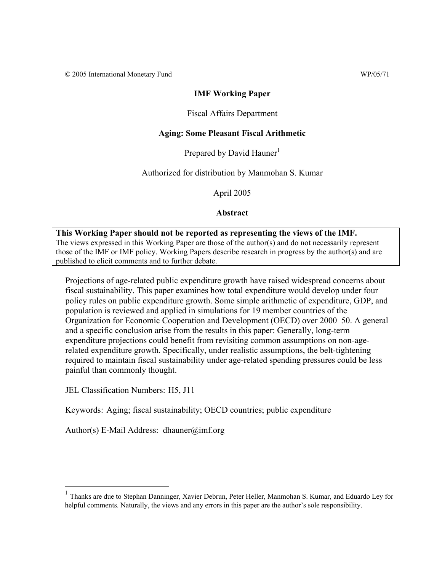© 2005 International Monetary Fund WP/05/71

## **IMF Working Paper**

## Fiscal Affairs Department

## **Aging: Some Pleasant Fiscal Arithmetic**

Prepared by David Hauner<sup>1</sup>

Authorized for distribution by Manmohan S. Kumar

April 2005

**Abstract**

**This Working Paper should not be reported as representing the views of the IMF.** The views expressed in this Working Paper are those of the author(s) and do not necessarily represent those of the IMF or IMF policy. Working Papers describe research in progress by the author(s) and are published to elicit comments and to further debate.

Projections of age-related public expenditure growth have raised widespread concerns about fiscal sustainability. This paper examines how total expenditure would develop under four policy rules on public expenditure growth. Some simple arithmetic of expenditure, GDP, and population is reviewed and applied in simulations for 19 member countries of the Organization for Economic Cooperation and Development (OECD) over 2000–50. A general and a specific conclusion arise from the results in this paper: Generally, long-term expenditure projections could benefit from revisiting common assumptions on non-agerelated expenditure growth. Specifically, under realistic assumptions, the belt-tightening required to maintain fiscal sustainability under age-related spending pressures could be less painful than commonly thought.

JEL Classification Numbers: H5, J11

 $\overline{a}$ 

Keywords: Aging; fiscal sustainability; OECD countries; public expenditure

Author(s) E-Mail Address: dhauner@imf.org

<sup>1</sup> Thanks are due to Stephan Danninger, Xavier Debrun, Peter Heller, Manmohan S. Kumar, and Eduardo Ley for helpful comments. Naturally, the views and any errors in this paper are the author's sole responsibility.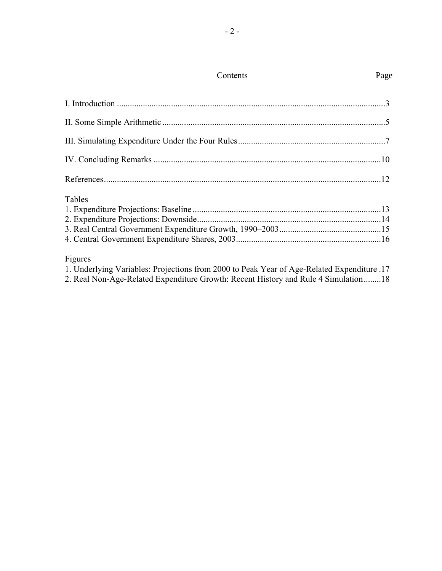| Tables |  |
|--------|--|
|        |  |
|        |  |
|        |  |
|        |  |

# Figures

1. Underlying Variables: Projections from 2000 to Peak Year of Age-Related Expenditure .17 2. Real Non-Age-Related Expenditure Growth: Recent History and Rule 4 Simulation........18

# Page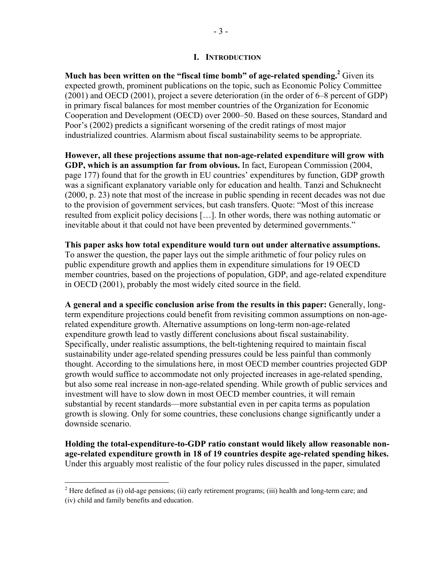**Much has been written on the "fiscal time bomb" of age-related spending.** Given its expected growth, prominent publications on the topic, such as Economic Policy Committee (2001) and OECD (2001), project a severe deterioration (in the order of 6–8 percent of GDP) in primary fiscal balances for most member countries of the Organization for Economic Cooperation and Development (OECD) over 2000–50. Based on these sources, Standard and Poor's (2002) predicts a significant worsening of the credit ratings of most major industrialized countries. Alarmism about fiscal sustainability seems to be appropriate.

**However, all these projections assume that non-age-related expenditure will grow with GDP, which is an assumption far from obvious.** In fact, European Commission (2004, page 177) found that for the growth in EU countries' expenditures by function, GDP growth was a significant explanatory variable only for education and health. Tanzi and Schuknecht (2000, p. 23) note that most of the increase in public spending in recent decades was not due to the provision of government services, but cash transfers. Quote: "Most of this increase resulted from explicit policy decisions […]. In other words, there was nothing automatic or inevitable about it that could not have been prevented by determined governments."

**This paper asks how total expenditure would turn out under alternative assumptions.** To answer the question, the paper lays out the simple arithmetic of four policy rules on public expenditure growth and applies them in expenditure simulations for 19 OECD member countries, based on the projections of population, GDP, and age-related expenditure in OECD (2001), probably the most widely cited source in the field.

**A general and a specific conclusion arise from the results in this paper:** Generally, longterm expenditure projections could benefit from revisiting common assumptions on non-agerelated expenditure growth. Alternative assumptions on long-term non-age-related expenditure growth lead to vastly different conclusions about fiscal sustainability. Specifically, under realistic assumptions, the belt-tightening required to maintain fiscal sustainability under age-related spending pressures could be less painful than commonly thought. According to the simulations here, in most OECD member countries projected GDP growth would suffice to accommodate not only projected increases in age-related spending, but also some real increase in non-age-related spending. While growth of public services and investment will have to slow down in most OECD member countries, it will remain substantial by recent standards—more substantial even in per capita terms as population growth is slowing. Only for some countries, these conclusions change significantly under a downside scenario.

**Holding the total-expenditure-to-GDP ratio constant would likely allow reasonable nonage-related expenditure growth in 18 of 19 countries despite age-related spending hikes.**  Under this arguably most realistic of the four policy rules discussed in the paper, simulated

<sup>&</sup>lt;sup>2</sup> Here defined as (i) old-age pensions; (ii) early retirement programs; (iii) health and long-term care; and (iv) child and family benefits and education.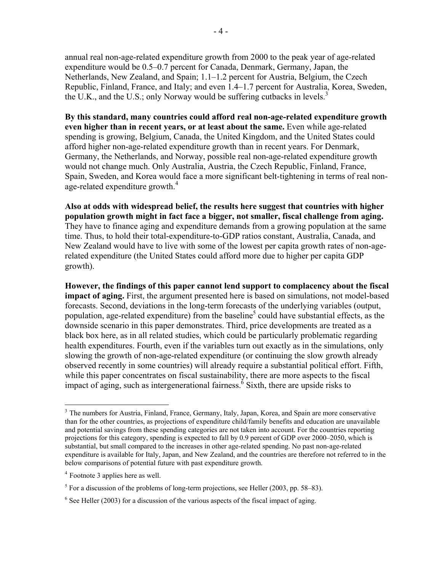annual real non-age-related expenditure growth from 2000 to the peak year of age-related expenditure would be 0.5–0.7 percent for Canada, Denmark, Germany, Japan, the Netherlands, New Zealand, and Spain; 1.1–1.2 percent for Austria, Belgium, the Czech Republic, Finland, France, and Italy; and even 1.4–1.7 percent for Australia, Korea, Sweden, the U.K., and the U.S.; only Norway would be suffering cutbacks in levels.<sup>3</sup>

**By this standard, many countries could afford real non-age-related expenditure growth even higher than in recent years, or at least about the same.** Even while age-related spending is growing, Belgium, Canada, the United Kingdom, and the United States could afford higher non-age-related expenditure growth than in recent years. For Denmark, Germany, the Netherlands, and Norway, possible real non-age-related expenditure growth would not change much. Only Australia, Austria, the Czech Republic, Finland, France, Spain, Sweden, and Korea would face a more significant belt-tightening in terms of real nonage-related expenditure growth.<sup>4</sup>

**Also at odds with widespread belief, the results here suggest that countries with higher population growth might in fact face a bigger, not smaller, fiscal challenge from aging.** They have to finance aging and expenditure demands from a growing population at the same time. Thus, to hold their total-expenditure-to-GDP ratios constant, Australia, Canada, and New Zealand would have to live with some of the lowest per capita growth rates of non-agerelated expenditure (the United States could afford more due to higher per capita GDP growth).

**However, the findings of this paper cannot lend support to complacency about the fiscal impact of aging.** First, the argument presented here is based on simulations, not model-based forecasts. Second, deviations in the long-term forecasts of the underlying variables (output, population, age-related expenditure) from the baseline<sup>5</sup> could have substantial effects, as the downside scenario in this paper demonstrates. Third, price developments are treated as a black box here, as in all related studies, which could be particularly problematic regarding health expenditures. Fourth, even if the variables turn out exactly as in the simulations, only slowing the growth of non-age-related expenditure (or continuing the slow growth already observed recently in some countries) will already require a substantial political effort. Fifth, while this paper concentrates on fiscal sustainability, there are more aspects to the fiscal impact of aging, such as intergenerational fairness.<sup> $\delta$ </sup> Sixth, there are upside risks to

1

<sup>&</sup>lt;sup>3</sup> The numbers for Austria, Finland, France, Germany, Italy, Japan, Korea, and Spain are more conservative than for the other countries, as projections of expenditure child/family benefits and education are unavailable and potential savings from these spending categories are not taken into account. For the countries reporting projections for this category, spending is expected to fall by 0.9 percent of GDP over 2000–2050, which is substantial, but small compared to the increases in other age-related spending. No past non-age-related expenditure is available for Italy, Japan, and New Zealand, and the countries are therefore not referred to in the below comparisons of potential future with past expenditure growth.

<sup>4</sup> Footnote 3 applies here as well.

 $<sup>5</sup>$  For a discussion of the problems of long-term projections, see Heller (2003, pp. 58–83).</sup>

 $6$  See Heller (2003) for a discussion of the various aspects of the fiscal impact of aging.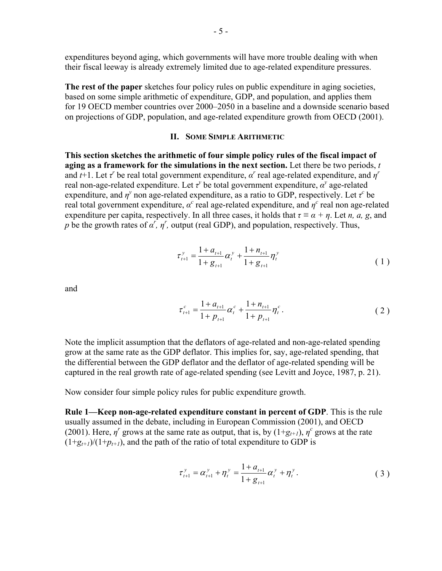expenditures beyond aging, which governments will have more trouble dealing with when their fiscal leeway is already extremely limited due to age-related expenditure pressures.

**The rest of the paper** sketches four policy rules on public expenditure in aging societies, based on some simple arithmetic of expenditure, GDP, and population, and applies them for 19 OECD member countries over 2000–2050 in a baseline and a downside scenario based on projections of GDP, population, and age-related expenditure growth from OECD (2001).

### **II. SOME SIMPLE ARITHMETIC**

**This section sketches the arithmetic of four simple policy rules of the fiscal impact of aging as a framework for the simulations in the next section.** Let there be two periods, *t*  and  $t+1$ . Let  $\tau$ <sup>*r*</sup> be real total government expenditure,  $\alpha$ <sup>*r*</sup> real age-related expenditure, and  $\eta$ <sup>*r*</sup> real non-age-related expenditure. Let  $\tau^y$  be total government expenditure,  $\alpha^y$  age-related expenditure, and  $\eta^y$  non age-related expenditure, as a ratio to GDP, respectively. Let  $\tau^c$  be real total government expenditure,  $\alpha^c$  real age-related expenditure, and  $\eta^c$  real non age-related expenditure per capita, respectively. In all three cases, it holds that  $\tau \equiv \alpha + \eta$ . Let *n*, *a*, *g*, and *p* be the growth rates of  $\alpha^r$ ,  $\eta^r$ , output (real GDP), and population, respectively. Thus,

$$
\tau_{t+1}^{y} = \frac{1 + a_{t+1}}{1 + g_{t+1}} \alpha_t^{y} + \frac{1 + n_{t+1}}{1 + g_{t+1}} \eta_t^{y}
$$
\n(1)

and

$$
\tau_{t+1}^c = \frac{1 + a_{t+1}}{1 + p_{t+1}} \alpha_t^c + \frac{1 + n_{t+1}}{1 + p_{t+1}} \eta_t^c.
$$
 (2)

Note the implicit assumption that the deflators of age-related and non-age-related spending grow at the same rate as the GDP deflator. This implies for, say, age-related spending, that the differential between the GDP deflator and the deflator of age-related spending will be captured in the real growth rate of age-related spending (see Levitt and Joyce, 1987, p. 21).

Now consider four simple policy rules for public expenditure growth.

**Rule 1—Keep non-age-related expenditure constant in percent of GDP**. This is the rule usually assumed in the debate, including in European Commission (2001), and OECD (2001). Here,  $\eta^r$  grows at the same rate as output, that is, by  $(1+g_{t+1}), \eta^c$  grows at the rate  $(1+g_{t+1})/(1+p_{t+1})$ , and the path of the ratio of total expenditure to GDP is

$$
\tau_{t+1}^y = \alpha_{t+1}^y + \eta_t^y = \frac{1 + a_{t+1}}{1 + g_{t+1}} \alpha_t^y + \eta_t^y.
$$
 (3)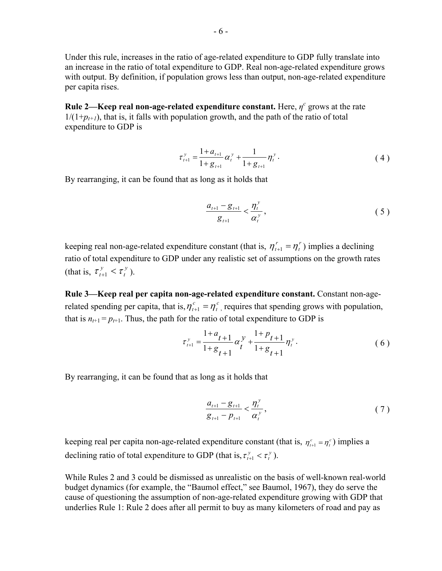Under this rule, increases in the ratio of age-related expenditure to GDP fully translate into an increase in the ratio of total expenditure to GDP. Real non-age-related expenditure grows with output. By definition, if population grows less than output, non-age-related expenditure per capita rises.

**Rule 2—Keep real non-age-related expenditure constant.** Here,  $\eta^c$  grows at the rate  $1/(1+p_{t+1})$ , that is, it falls with population growth, and the path of the ratio of total expenditure to GDP is

$$
\tau_{t+1}^y = \frac{1 + a_{t+1}}{1 + g_{t+1}} \alpha_t^y + \frac{1}{1 + g_{t+1}} \eta_t^y.
$$
 (4)

By rearranging, it can be found that as long as it holds that

$$
\frac{a_{t+1} - g_{t+1}}{g_{t+1}} < \frac{\eta_t^y}{\alpha_t^y},\tag{5}
$$

keeping real non-age-related expenditure constant (that is,  $\eta_{t+1}^r = \eta_t^r$ ) implies a declining ratio of total expenditure to GDP under any realistic set of assumptions on the growth rates (that is,  $\tau_{t+1}^y < \tau_t^y$  $\tau_{t+1}^y < \tau_t^y$ ).

**Rule 3—Keep real per capita non-age-related expenditure constant.** Constant non-agerelated spending per capita, that is,  $\eta_{t+1}^c = \eta_t^c$ , requires that spending grows with population, that is  $n_{t+1} = p_{t+1}$ . Thus, the path for the ratio of total expenditure to GDP is

$$
\tau_{t+1}^{y} = \frac{1+a_{t+1}}{1+g_{t+1}} \alpha_t^{y} + \frac{1+p_{t+1}}{1+g_{t+1}} \eta_t^{y}.
$$
\n(6)

By rearranging, it can be found that as long as it holds that

$$
\frac{a_{t+1} - g_{t+1}}{g_{t+1} - p_{t+1}} < \frac{\eta_t^y}{\alpha_t^y},\tag{7}
$$

keeping real per capita non-age-related expenditure constant (that is,  $\eta_{t+1}^c = \eta_t^c$ ) implies a declining ratio of total expenditure to GDP (that is,  $\tau_{t+1}^y < \tau_t^y$  $\tau_{t+1}^y < \tau_t^y$ ).

While Rules 2 and 3 could be dismissed as unrealistic on the basis of well-known real-world budget dynamics (for example, the "Baumol effect," see Baumol, 1967), they do serve the cause of questioning the assumption of non-age-related expenditure growing with GDP that underlies Rule 1: Rule 2 does after all permit to buy as many kilometers of road and pay as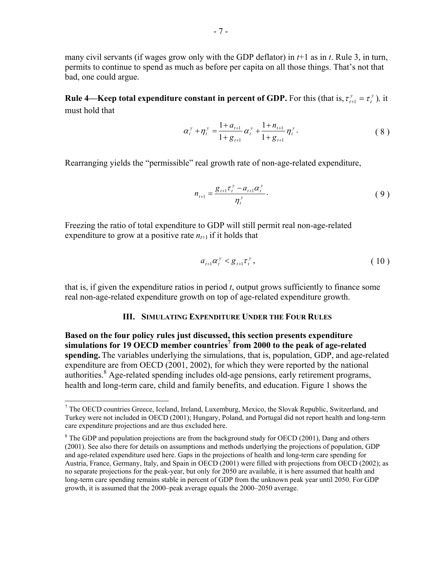many civil servants (if wages grow only with the GDP deflator) in *t*+1 as in *t*. Rule 3, in turn, permits to continue to spend as much as before per capita on all those things. That's not that bad, one could argue.

**Rule 4—Keep total expenditure constant in percent of GDP.** For this (that is,  $\tau_{t+1}^y = \tau_t^y$  $\tau_{t+1}^y = \tau_t^y$ ), it must hold that

$$
\alpha_t^y + \eta_t^y = \frac{1 + a_{t+1}}{1 + g_{t+1}} \alpha_t^y + \frac{1 + n_{t+1}}{1 + g_{t+1}} \eta_t^y.
$$
 (8)

Rearranging yields the "permissible" real growth rate of non-age-related expenditure,

$$
n_{t+1} = \frac{g_{t+1} \tau_t^{\,y} - a_{t+1} \alpha_t^{\,y}}{\eta_t^{\,y}}.
$$
 (9)

Freezing the ratio of total expenditure to GDP will still permit real non-age-related expenditure to grow at a positive rate  $n_{t+1}$  if it holds that

$$
a_{t+1} \alpha_t^y < g_{t+1} \tau_t^y \,, \tag{10}
$$

that is, if given the expenditure ratios in period *t*, output grows sufficiently to finance some real non-age-related expenditure growth on top of age-related expenditure growth.

### **III. SIMULATING EXPENDITURE UNDER THE FOUR RULES**

**Based on the four policy rules just discussed, this section presents expenditure**  simulations for 19 OECD member countries<sup>7</sup> from 2000 to the peak of age-related **spending.** The variables underlying the simulations, that is, population, GDP, and age-related expenditure are from OECD (2001, 2002), for which they were reported by the national authorities.<sup>8</sup> Age-related spending includes old-age pensions, early retirement programs, health and long-term care, child and family benefits, and education. Figure 1 shows the

<sup>&</sup>lt;sup>7</sup> The OECD countries Greece, Iceland, Ireland, Luxemburg, Mexico, the Slovak Republic, Switzerland, and Turkey were not included in OECD (2001); Hungary, Poland, and Portugal did not report health and long-term care expenditure projections and are thus excluded here.

 $8$  The GDP and population projections are from the background study for OECD (2001), Dang and others (2001). See also there for details on assumptions and methods underlying the projections of population, GDP and age-related expenditure used here. Gaps in the projections of health and long-term care spending for Austria, France, Germany, Italy, and Spain in OECD (2001) were filled with projections from OECD (2002); as no separate projections for the peak-year, but only for 2050 are available, it is here assumed that health and long-term care spending remains stable in percent of GDP from the unknown peak year until 2050. For GDP growth, it is assumed that the 2000–peak average equals the 2000–2050 average.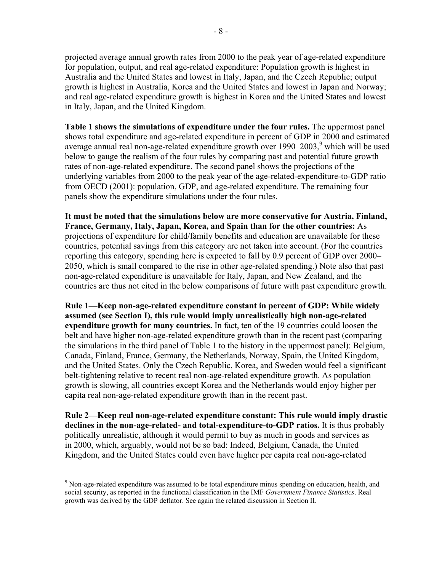projected average annual growth rates from 2000 to the peak year of age-related expenditure for population, output, and real age-related expenditure: Population growth is highest in Australia and the United States and lowest in Italy, Japan, and the Czech Republic; output growth is highest in Australia, Korea and the United States and lowest in Japan and Norway; and real age-related expenditure growth is highest in Korea and the United States and lowest in Italy, Japan, and the United Kingdom.

**Table 1 shows the simulations of expenditure under the four rules.** The uppermost panel shows total expenditure and age-related expenditure in percent of GDP in 2000 and estimated average annual real non-age-related expenditure growth over  $1990-2003$ , which will be used below to gauge the realism of the four rules by comparing past and potential future growth rates of non-age-related expenditure. The second panel shows the projections of the underlying variables from 2000 to the peak year of the age-related-expenditure-to-GDP ratio from OECD (2001): population, GDP, and age-related expenditure. The remaining four panels show the expenditure simulations under the four rules.

**It must be noted that the simulations below are more conservative for Austria, Finland, France, Germany, Italy, Japan, Korea, and Spain than for the other countries:** As projections of expenditure for child/family benefits and education are unavailable for these countries, potential savings from this category are not taken into account. (For the countries reporting this category, spending here is expected to fall by 0.9 percent of GDP over 2000– 2050, which is small compared to the rise in other age-related spending.) Note also that past non-age-related expenditure is unavailable for Italy, Japan, and New Zealand, and the countries are thus not cited in the below comparisons of future with past expenditure growth.

**Rule 1—Keep non-age-related expenditure constant in percent of GDP: While widely assumed (see Section I), this rule would imply unrealistically high non-age-related expenditure growth for many countries.** In fact, ten of the 19 countries could loosen the belt and have higher non-age-related expenditure growth than in the recent past (comparing the simulations in the third panel of Table 1 to the history in the uppermost panel): Belgium, Canada, Finland, France, Germany, the Netherlands, Norway, Spain, the United Kingdom, and the United States. Only the Czech Republic, Korea, and Sweden would feel a significant belt-tightening relative to recent real non-age-related expenditure growth. As population growth is slowing, all countries except Korea and the Netherlands would enjoy higher per capita real non-age-related expenditure growth than in the recent past.

**Rule 2—Keep real non-age-related expenditure constant: This rule would imply drastic declines in the non-age-related- and total-expenditure-to-GDP ratios.** It is thus probably politically unrealistic, although it would permit to buy as much in goods and services as in 2000, which, arguably, would not be so bad: Indeed, Belgium, Canada, the United Kingdom, and the United States could even have higher per capita real non-age-related

<sup>&</sup>lt;sup>9</sup> Non-age-related expenditure was assumed to be total expenditure minus spending on education, health, and social security, as reported in the functional classification in the IMF *Government Finance Statistics*. Real growth was derived by the GDP deflator. See again the related discussion in Section II.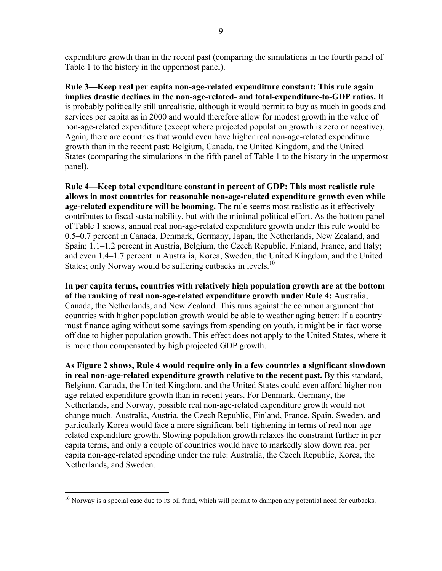expenditure growth than in the recent past (comparing the simulations in the fourth panel of Table 1 to the history in the uppermost panel).

**Rule 3—Keep real per capita non-age-related expenditure constant: This rule again implies drastic declines in the non-age-related- and total-expenditure-to-GDP ratios.** It is probably politically still unrealistic, although it would permit to buy as much in goods and services per capita as in 2000 and would therefore allow for modest growth in the value of non-age-related expenditure (except where projected population growth is zero or negative). Again, there are countries that would even have higher real non-age-related expenditure growth than in the recent past: Belgium, Canada, the United Kingdom, and the United States (comparing the simulations in the fifth panel of Table 1 to the history in the uppermost panel).

**Rule 4—Keep total expenditure constant in percent of GDP: This most realistic rule allows in most countries for reasonable non-age-related expenditure growth even while age-related expenditure will be booming.** The rule seems most realistic as it effectively contributes to fiscal sustainability, but with the minimal political effort. As the bottom panel of Table 1 shows, annual real non-age-related expenditure growth under this rule would be 0.5–0.7 percent in Canada, Denmark, Germany, Japan, the Netherlands, New Zealand, and Spain; 1.1–1.2 percent in Austria, Belgium, the Czech Republic, Finland, France, and Italy; and even 1.4–1.7 percent in Australia, Korea, Sweden, the United Kingdom, and the United States; only Norway would be suffering cutbacks in levels.<sup>10</sup>

**In per capita terms, countries with relatively high population growth are at the bottom of the ranking of real non-age-related expenditure growth under Rule 4:** Australia, Canada, the Netherlands, and New Zealand. This runs against the common argument that countries with higher population growth would be able to weather aging better: If a country must finance aging without some savings from spending on youth, it might be in fact worse off due to higher population growth. This effect does not apply to the United States, where it is more than compensated by high projected GDP growth.

**As Figure 2 shows, Rule 4 would require only in a few countries a significant slowdown in real non-age-related expenditure growth relative to the recent past.** By this standard, Belgium, Canada, the United Kingdom, and the United States could even afford higher nonage-related expenditure growth than in recent years. For Denmark, Germany, the Netherlands, and Norway, possible real non-age-related expenditure growth would not change much. Australia, Austria, the Czech Republic, Finland, France, Spain, Sweden, and particularly Korea would face a more significant belt-tightening in terms of real non-agerelated expenditure growth. Slowing population growth relaxes the constraint further in per capita terms, and only a couple of countries would have to markedly slow down real per capita non-age-related spending under the rule: Australia, the Czech Republic, Korea, the Netherlands, and Sweden.

<sup>&</sup>lt;sup>10</sup> Norway is a special case due to its oil fund, which will permit to dampen any potential need for cutbacks.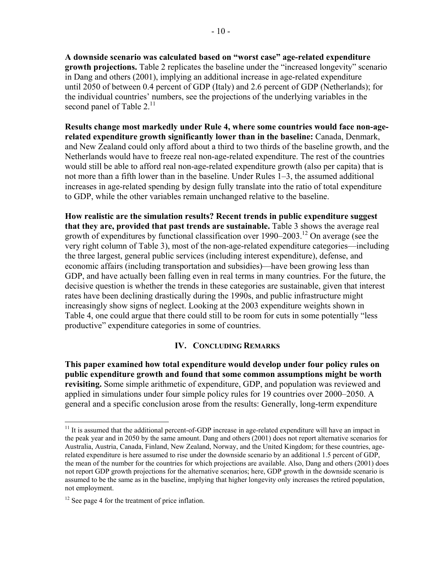**A downside scenario was calculated based on "worst case" age-related expenditure growth projections.** Table 2 replicates the baseline under the "increased longevity" scenario in Dang and others (2001), implying an additional increase in age-related expenditure until 2050 of between 0.4 percent of GDP (Italy) and 2.6 percent of GDP (Netherlands); for the individual countries' numbers, see the projections of the underlying variables in the second panel of Table  $2.^{11}$ 

**Results change most markedly under Rule 4, where some countries would face non-agerelated expenditure growth significantly lower than in the baseline:** Canada, Denmark, and New Zealand could only afford about a third to two thirds of the baseline growth, and the Netherlands would have to freeze real non-age-related expenditure. The rest of the countries would still be able to afford real non-age-related expenditure growth (also per capita) that is not more than a fifth lower than in the baseline. Under Rules 1–3, the assumed additional increases in age-related spending by design fully translate into the ratio of total expenditure to GDP, while the other variables remain unchanged relative to the baseline.

**How realistic are the simulation results? Recent trends in public expenditure suggest that they are, provided that past trends are sustainable.** Table 3 shows the average real growth of expenditures by functional classification over  $1990-2003$ .<sup>12</sup> On average (see the very right column of Table 3), most of the non-age-related expenditure categories—including the three largest, general public services (including interest expenditure), defense, and economic affairs (including transportation and subsidies)—have been growing less than GDP, and have actually been falling even in real terms in many countries. For the future, the decisive question is whether the trends in these categories are sustainable, given that interest rates have been declining drastically during the 1990s, and public infrastructure might increasingly show signs of neglect. Looking at the 2003 expenditure weights shown in Table 4, one could argue that there could still to be room for cuts in some potentially "less productive" expenditure categories in some of countries.

# **IV. CONCLUDING REMARKS**

**This paper examined how total expenditure would develop under four policy rules on public expenditure growth and found that some common assumptions might be worth revisiting.** Some simple arithmetic of expenditure, GDP, and population was reviewed and applied in simulations under four simple policy rules for 19 countries over 2000–2050. A general and a specific conclusion arose from the results: Generally, long-term expenditure

<u>.</u>

 $11$  It is assumed that the additional percent-of-GDP increase in age-related expenditure will have an impact in the peak year and in 2050 by the same amount. Dang and others (2001) does not report alternative scenarios for Australia, Austria, Canada, Finland, New Zealand, Norway, and the United Kingdom; for these countries, agerelated expenditure is here assumed to rise under the downside scenario by an additional 1.5 percent of GDP, the mean of the number for the countries for which projections are available. Also, Dang and others (2001) does not report GDP growth projections for the alternative scenarios; here, GDP growth in the downside scenario is assumed to be the same as in the baseline, implying that higher longevity only increases the retired population, not employment.

 $12$  See page 4 for the treatment of price inflation.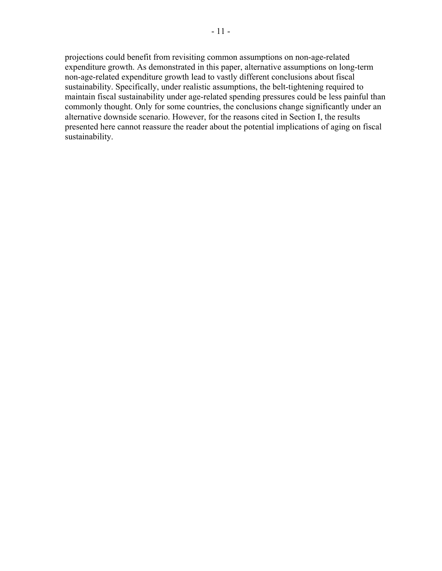projections could benefit from revisiting common assumptions on non-age-related expenditure growth. As demonstrated in this paper, alternative assumptions on long-term non-age-related expenditure growth lead to vastly different conclusions about fiscal sustainability. Specifically, under realistic assumptions, the belt-tightening required to maintain fiscal sustainability under age-related spending pressures could be less painful than commonly thought. Only for some countries, the conclusions change significantly under an alternative downside scenario. However, for the reasons cited in Section I, the results presented here cannot reassure the reader about the potential implications of aging on fiscal sustainability.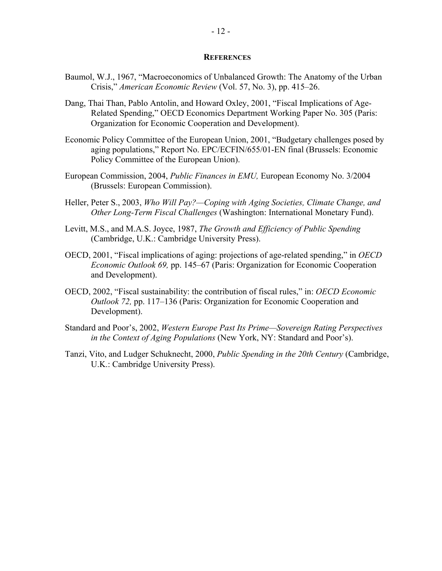#### **REFERENCES**

- Baumol, W.J., 1967, "Macroeconomics of Unbalanced Growth: The Anatomy of the Urban Crisis," *American Economic Review* (Vol. 57, No. 3), pp. 415–26.
- Dang, Thai Than, Pablo Antolin, and Howard Oxley, 2001, "Fiscal Implications of Age-Related Spending," OECD Economics Department Working Paper No. 305 (Paris: Organization for Economic Cooperation and Development).
- Economic Policy Committee of the European Union, 2001, "Budgetary challenges posed by aging populations," Report No. EPC/ECFIN/655/01-EN final (Brussels: Economic Policy Committee of the European Union).
- European Commission, 2004, *Public Finances in EMU,* European Economy No. 3/2004 (Brussels: European Commission).
- Heller, Peter S., 2003, *Who Will Pay?—Coping with Aging Societies, Climate Change, and Other Long-Term Fiscal Challenges* (Washington: International Monetary Fund).
- Levitt, M.S., and M.A.S. Joyce, 1987, *The Growth and Efficiency of Public Spending* (Cambridge, U.K.: Cambridge University Press).
- OECD, 2001, "Fiscal implications of aging: projections of age-related spending," in *OECD Economic Outlook 69,* pp. 145–67 (Paris: Organization for Economic Cooperation and Development).
- OECD, 2002, "Fiscal sustainability: the contribution of fiscal rules," in: *OECD Economic Outlook 72,* pp. 117–136 (Paris: Organization for Economic Cooperation and Development).
- Standard and Poor's, 2002, *Western Europe Past Its Prime—Sovereign Rating Perspectives in the Context of Aging Populations* (New York, NY: Standard and Poor's).
- Tanzi, Vito, and Ludger Schuknecht, 2000, *Public Spending in the 20th Century* (Cambridge, U.K.: Cambridge University Press).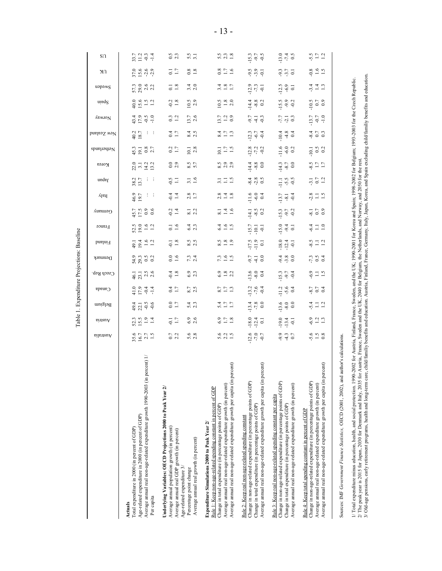Table 1. Expenditure Projections: Baseline Table 1. Expenditure Projections: Baseline

| $\frac{14.1}{8.5}$<br>$45.7$<br>17.5 0.6<br>$-0.2$<br>$\frac{8.1}{2.2}$<br>$\frac{1}{8}$ $\frac{4}{1}$ $\frac{6}{1}$<br>1.6<br>$64 \over 2.3$<br>$52.5$<br>$19.1$<br>$12.1$<br>31.5 | $38.7$ : :<br>$\frac{46.9}{19.7}$<br>0.4<br>2.8<br>$2.8$<br>$-1.8$ |                                           | 22.0<br>3.1<br>13.2<br>13.2                                                                                                         | $0.2$<br>1.7<br>$45.3$<br>$9.1$<br>$0.8$<br>$2.7$<br>$\frac{28}{7}$ $\frac{2}{7}$ $\frac{2}{9}$<br>$10.1$<br>2.8<br>$\frac{11}{2}$ $\frac{15}{1}$ | $\mathbb{R}^d$<br>0.4<br>40.2<br>8.4<br>$\frac{4}{2}$ $\frac{1}{2}$ $\frac{3}{2}$<br>$\frac{13}{9}$ $\frac{5}{9}$ | $43.99 - 1.9$<br>0.3<br>$13.7$<br>$1.2$<br>$0.9$<br>$13.7$<br>2.6<br>$9.7$<br>$9.1$<br>$9.3$ | $57.3$<br>$29.0$<br>$21.2$<br>$\frac{1}{1.8}$<br>3.4<br>$3.48$ $-1.7$<br>$\frac{12.9}{7.3}$<br>$-0.2$<br>10.5<br>$9.6$<br>$9.5$<br>$1.2$<br>$rac{5}{2}$ $rac{8}{2}$ $rac{0}{2}$<br>$\frac{14.4}{9.8}$ |
|-------------------------------------------------------------------------------------------------------------------------------------------------------------------------------------|--------------------------------------------------------------------|-------------------------------------------|-------------------------------------------------------------------------------------------------------------------------------------|---------------------------------------------------------------------------------------------------------------------------------------------------|-------------------------------------------------------------------------------------------------------------------|----------------------------------------------------------------------------------------------|-------------------------------------------------------------------------------------------------------------------------------------------------------------------------------------------------------|
|                                                                                                                                                                                     | $15.7$<br>$-10.1$<br>$-0.1$<br>$15.0$<br>$9.4$<br>$0.1$            | $\frac{6}{116}$ 0.4                       | $0.0$<br>2.9<br>8.5<br>$\frac{14.4}{9.8}$<br>$-0.5$<br>$\frac{3}{6}$ $\frac{4}{10}$ $\frac{8}{9}$ $\frac{5}{9}$<br>3.1<br>$\Xi \Xi$ |                                                                                                                                                   |                                                                                                                   |                                                                                              | $\frac{12.5}{6.9}$<br>$15.5$<br>9.2                                                                                                                                                                   |
|                                                                                                                                                                                     | $15.3$<br>9.7<br>$\frac{81}{0.7}$                                  | $\frac{11}{11}$ 5.9<br>$\frac{13.7}{8.1}$ | $14.3$<br>$8.7$<br>0.0                                                                                                              | $11.6$<br>$-6.0$<br>$0.2$                                                                                                                         |                                                                                                                   | $-7.7$<br>$-2.1$<br>$0.3$<br>$\frac{1}{9}$ 4 $\frac{8}{9}$                                   |                                                                                                                                                                                                       |

1/ Total expenditure minus education, health, and social protection. 1990-2002 for Austria, Finland, France, Sweden, and the UK; 1990-2001 for Korea and Spain; 1998-2002 for Belgium; 1993-2003 for the Czech Republic.<br>2/ Th 3/ Old-age pensions, early retriement programs, health and long-term care, child/familiy benefits and education. Austria, Finland, France, Germany, Italy, Japan, Korea, and Spain excluding child/familiy benefits and educat 1/ Total expenditure minus education, health, and social protection. 1990-2002 for Austria, Finland, France, Sweden, and the UK; 1990-2001 for Korea and Spain; 1998-2002 for Belgium; 1993-2003 for the Czech Republic. 2/ The peak year is 2015 for Japan, 2030 for Denmark and Italy, 2035 for Austria, France, Sweden and the UK, 2040 for Belgium, the Netherlands, and Norway, and 2050 for the rest.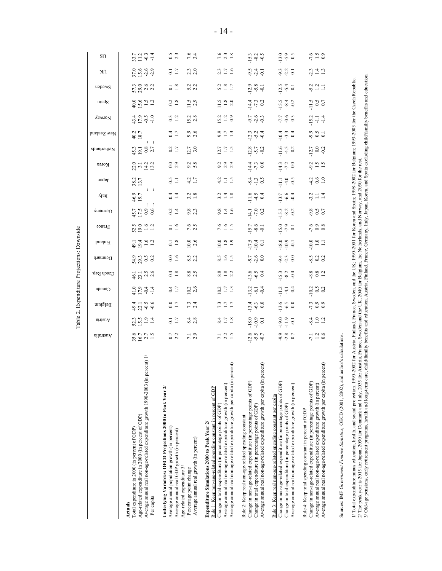Table 2. Expenditure Projections: Downside Table 2. Expenditure Projections: Downside

|                                                                                                                                                                                                                                                                                                                                            | hilstiauA                 | sintenA                            | Belgium                          | Canada                                     | Czech Rep.                                    | Denmark              | <b>Printing</b>                | France                             | Germany                                                   | ylsil                                         | nedel                        | Korea                                        | Netherlands                      | New Zealand                                  | VewioN                        | undg                                      | uəpəms                                       | UK                                       | S <sub>0</sub>                                 |
|--------------------------------------------------------------------------------------------------------------------------------------------------------------------------------------------------------------------------------------------------------------------------------------------------------------------------------------------|---------------------------|------------------------------------|----------------------------------|--------------------------------------------|-----------------------------------------------|----------------------|--------------------------------|------------------------------------|-----------------------------------------------------------|-----------------------------------------------|------------------------------|----------------------------------------------|----------------------------------|----------------------------------------------|-------------------------------|-------------------------------------------|----------------------------------------------|------------------------------------------|------------------------------------------------|
| Average annual real non-age-related expenditure growth 1990-2003 (in percent) 1/<br>Age-related expenditure in 2000 (in percent of GDP)<br>Total expenditure in 2000 (in percent of GDP)<br>Per capita<br>Actuals                                                                                                                          | $35.6$<br>$16.7$<br>$1.5$ | $3.59$ $\frac{3}{1}$ $\frac{4}{1}$ | 47.199                           | $7094$<br>$7094$                           | $\frac{1}{2}$ 7 $\frac{5}{2}$ 8 $\frac{6}{2}$ | 33<br>33<br>30<br>30 | $49.1$<br>$49.1$<br>$1.2$      | $52.5$<br>$19.0$<br>$1.2$<br>$1.2$ | $\begin{array}{c} 45.7 \\ 17.5 \\ 0.9 \\ 6.6 \end{array}$ | $\frac{1}{2}$ . $\frac{1}{2}$<br>46.9<br>19.7 | 38.2<br>13.7                 | $23 - 22$<br>$13 - 22$<br>$13 - 22$          | $45.3$<br>$9.1$<br>$2.7$         | 40.2<br>18.7                                 | $47.99$<br>$-1.99$<br>$-1.99$ | $40.0$<br>$1.5$<br>$1.2$                  | 573<br>5823                                  | $37.6$<br>$5.6$<br>$6$<br>$7.9$<br>$7.9$ | $3.7$<br>$3.1$ $9.4$<br>$1.4$                  |
| Underlying Variables: OECD Projections 2000 to Peak Year 2/<br>Average annual population growth (in percent)<br>Average annual real GDP growth (in percent)<br>Average annual real growth (in percent)<br>Age-related expenditure $3/$<br>Percentage point change                                                                          | $0.7$<br>2.2<br>7.1       | $-1.7$<br>$8.\overline{4}$<br>2.8  | 0.0<br>$7.\overline{3}$<br>2.4   | 0.4<br>$\frac{10.2}{2.6}$                  | $8.8$<br>2.5<br>$-0.4$<br>1.8                 | 0.0<br>$8.5$<br>2.2  | $-0.1$<br>1.8<br>$10.0$<br>2.6 | $0.1$<br>$1.6$<br>$7.6$<br>2.5     | 0.4<br>$9.\overline{3}$                                   | 0.4<br>$3.\overline{2}$<br>1.8                | 4.7<br>$rac{5}{9}$           | $0.0$<br>2.9<br>$9.\overline{2}$<br>5.8      | $\frac{2}{1.7}$<br>$12.7$<br>3.0 | 1.7<br>$9.9$<br>$2.6$                        | 0.3<br>$15.2$<br>2.8          | $-0.2$<br>1.8<br>11.5                     | $\overline{0}$ .18<br>5.2                    | $\frac{1}{1.7}$<br>$\frac{2.3}{2.0}$     | $0.5$<br>2.3<br>$7.6$<br>3.4                   |
| cent)<br>Average annual real non-age-related expenditure growth per capita (in per<br>Average annual real non-age-related expenditure growth (in percent)<br>Rule 1: Keep non-age-related spending constant in percent of GDP<br>Change in total expenditure (in percentage points of GDP)<br>Expenditure Simulations 2000 to Peak Year 2/ | 7.300                     | 24.78                              | $7.7$ $1.7$                      | $\frac{2}{9}$ $\frac{1}{9}$ $\frac{1}{9}$  | $8.8$<br>$-2.2$                               | 3.905                | $0.08$<br>$1.9$                | $7.6$<br>$1.5$                     | 9.46                                                      | $3.14$<br>$-1.8$                              | 31.5                         | 0.39<br>0.39                                 | $\frac{17}{1.7}$                 | 9.11                                         | $\frac{.3}{.2}$ 2 3           | $\frac{1.5}{1.8}$                         | $5.2$ $\frac{3}{1.7}$                        | $2.3$<br>$1.7$<br>$1.6$                  | $7.6$<br>$7.3$<br>$1.8$                        |
| cent)<br>Average amual real non-age-related expenditure growth per capita (in per<br>Change in non-age-related expenditure (in percentage points of GDP)<br>Change in total expenditure (in percentage points of GDP)<br>Rule 2: Keep real non-age-related spending constant                                                               | $12.6$<br>$-9.5$          | $-18.0$<br>$-10.9$<br>$0.1$        | $\frac{4}{13}$ $\frac{3}{9}$ 0.0 | $\frac{2}{1}$ $\frac{1}{9}$ $\frac{4}{9}$  | $\frac{13.6}{9.5}$                            | 976<br>976           | $\frac{17.5}{10.4}$            | $15.7$<br>$-8.6$<br>$-0.1$         | $\frac{14.1}{7.0}$                                        | $\frac{16}{11}$ 4 5                           | $\frac{4}{9} - \frac{13}{9}$ | $\frac{14}{11}$ $\frac{1}{10}$ $\frac{0}{0}$ | $12.8$<br>$-5.7$<br>$-0.2$       | $\frac{3}{4}$ $\frac{3}{4}$ $\frac{4}{9}$    | ۹.7<br>۹.9 م<br>۹.9           | $\frac{4}{7}$ $\frac{3}{7}$ $\frac{3}{2}$ | $2, 8$<br>$-9, 6$<br>$-1$                    | $9.4 - 1$                                | $15.3$<br>$9.3$<br>$9.5$                       |
| Change in non-age-related expenditure (in percentage points of GDP)<br>Average annual real non-age-related expenditure growth (in percent)<br>Rule 3: Keep real non-age-related spending constant per capita<br>Change in total expenditure (in percentage points of GDP)                                                                  | 93<br>28<br>0.7           | $-19.0$<br>$-1.9$<br>$-0.1$        | $13.6$<br>$-6.5$<br>0.0          | $\frac{1}{11}$ $\frac{1}{4}$ $\frac{1}{9}$ | $15.3$<br>$9.3$<br>$9.4$                      | 3.30                 | $-18.0$<br>$-10.5$             | $15.0$<br>$-7.9$<br>$-1.5$         | $15.3$ $9.2$                                              | $13.7$<br>$-6.6$                              | $\frac{1}{11}$ 4 9           | $-14.3$<br>$-7.2$<br>0.0                     | $11.6$<br>$4.5$<br>$0.2$         | $\frac{4}{10}$ $\frac{3}{10}$ $\frac{4}{10}$ | $7.7$<br>$0.6$<br>$0.7$       | $\frac{15.5}{9.4}$                        | $\frac{13}{11}$ $\frac{4}{9}$ $\frac{1}{11}$ | $9.3$<br>$9.1$                           | $\frac{0}{13}$ , $\frac{0}{9}$ , $\frac{0}{5}$ |
| cent)<br>Average annual real non-age-related expenditure growth per capita (in per<br>Change in non-age-related expenditure (in percentage points of GDP)<br>Average annual real non-age-related expenditure growth (in percent)<br>Rule 4: Keep total spending constant in percent of GDP                                                 | 7.126                     | $-84$<br>$-12$                     | $7.3$<br>0.9                     | $\frac{2}{9}$ $\frac{3}{9}$ $\frac{2}{9}$  | $808$<br>$-12$                                | $\frac{85}{9}$ 0.2   | $\frac{0.0}{1.1}$              | $7.9$<br>0.8                       | 9.5<br>0.5<br>0.7                                         | 22.7                                          | $400$<br>$-10$               | $9.15$<br>$-1.5$                             | $\frac{12.7}{0.0}$               | 9.500000                                     | $15.7 + 14$                   | $\frac{11.5}{0.5}$                        | 321                                          | $2.14 \div 1.3$                          | $7.6$<br>$0.5$<br>$0.7$                        |
| Sources: IMF Government Finance Statistics, OECD (2001, 2002), and author's calculations                                                                                                                                                                                                                                                   |                           |                                    |                                  |                                            |                                               |                      |                                |                                    |                                                           |                                               |                              |                                              |                                  |                                              |                               |                                           |                                              |                                          |                                                |

1/ Total expenditure minus education, health, and social protection. 1990-2002 for Austria, Finland, France, Sweden, and the UK, 1990-2001 for Korea and Spain; 1998-2002 for Belgium; 1993-2003 for the Czech Republic.<br>2/ Th 3/ Old-age pensions, early retriement programs, health and long-term care, child/family benefits and education. Austria, Finland, France, Germany, Italy, Japan, Korea, and Spain excluding child/family benefits and educatio 1/ Total expenditure minus education, health, and social protection. 1990-2002 for Austria, Finland, France, Sweden, and the UK; 1990-2001 for Korea and Spain; 1998-2002 for Belgium; 1993-2003 for the Czech Republic. 2/ The peak year is 2015 for Japan, 2030 for Denmark and Italy, 2035 for Austria, France, Sweden and the UK, 2040 for Belgium, the Netherlands, and Norway, and 2050 for the rest.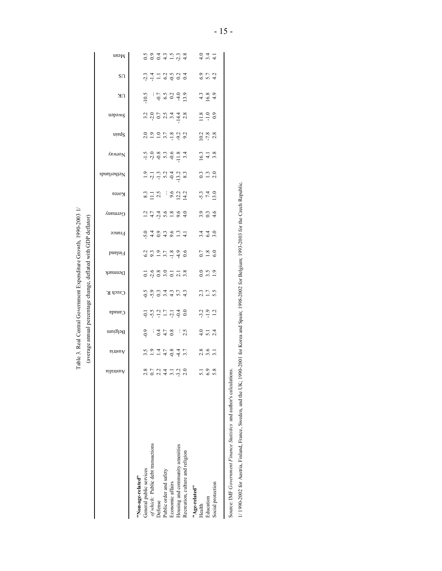Table 3. Real Central Government Expenditure Growth, 1990-2003 1/ Table 3. Real Central Government Expenditure Growth, 1990-2003 1/ (average annual percentage change, deflated with GDP deflator) (average annual percentage change, deflated with GDP deflator)

|                                                                     | eilenteu        | hintanA                        | Belgium                       | Canada          | Czech R.                     | Denmark                                   | Finland        | France   | Germany                  | <b>Korea</b>        | Netherlands                              | Vorway             | uinq2                     | uəpəms                                                                        | NΚ                                                                                      | $S\Omega$                            | $W$ ean              |
|---------------------------------------------------------------------|-----------------|--------------------------------|-------------------------------|-----------------|------------------------------|-------------------------------------------|----------------|----------|--------------------------|---------------------|------------------------------------------|--------------------|---------------------------|-------------------------------------------------------------------------------|-----------------------------------------------------------------------------------------|--------------------------------------|----------------------|
| "Non-age-related"                                                   |                 |                                |                               |                 |                              |                                           |                |          |                          |                     |                                          |                    |                           |                                                                               |                                                                                         |                                      |                      |
| General public services                                             |                 |                                |                               |                 |                              |                                           |                |          |                          |                     |                                          |                    |                           |                                                                               |                                                                                         |                                      |                      |
| of which: Public debt transactions                                  |                 | 2 1 1 4 0 4 4<br>2 7 4 5 6 4 7 | 9:7.8:8                       |                 | codintalista<br>codintalista |                                           |                | 0.404877 |                          | $321.43 \div 22.44$ |                                          |                    | 2997792                   |                                                                               |                                                                                         |                                      |                      |
| Defense                                                             | 2.2             |                                |                               |                 |                              |                                           |                |          |                          |                     |                                          |                    |                           |                                                                               |                                                                                         |                                      |                      |
| Public order and safety                                             | $\frac{4}{4}$   |                                |                               |                 |                              |                                           |                |          |                          |                     |                                          |                    |                           |                                                                               |                                                                                         |                                      |                      |
| Economic affairs                                                    |                 |                                |                               |                 |                              |                                           |                |          |                          |                     |                                          |                    |                           |                                                                               |                                                                                         |                                      |                      |
| Housing and community amenities                                     | $-3.2$          |                                |                               |                 |                              |                                           |                |          |                          |                     |                                          |                    |                           |                                                                               |                                                                                         |                                      |                      |
| Recreation, culture and religion                                    |                 |                                |                               | $-5.9.27 - 7.4$ |                              | $-1.680$<br>$-1.680$<br>$-1.78$<br>$-1.8$ | 3.3.2.7.8.9.6  |          | $1.779899$<br>$1.779899$ |                     | $-7 - 0 - 5 - 0$<br>$-7 - 0 - 0 - 0 - 0$ |                    |                           | $a \circ b$ $b \circ d \circ d$<br>$a \circ b$<br>$b \circ d \circ d \circ d$ | $\ddot{a}$ : $\dot{c}$ , $\ddot{c}$ , $\ddot{c}$ , $\ddot{c}$ , $\ddot{c}$ , $\ddot{c}$ | 8 1 1 1 2 2 2 2 2<br>이 T 1 2 0 0 0 0 | codurada<br>Codurada |
| "Age-related"                                                       |                 |                                |                               |                 |                              |                                           |                |          |                          |                     |                                          |                    |                           |                                                                               |                                                                                         |                                      |                      |
| Health                                                              | $\overline{51}$ |                                |                               |                 |                              |                                           |                |          |                          |                     |                                          |                    |                           |                                                                               |                                                                                         |                                      |                      |
| Education                                                           | $\frac{6}{9}$   | $2.8$<br>$3.1$                 | $\frac{6}{10}$ $\frac{1}{24}$ | $3.2$<br>$-1.2$ | $2.3$<br>$-1.7$<br>$5.5$     | $\frac{0}{3}$ $\frac{5}{1}$ $\frac{0}{1}$ | $0.7$<br>$6.0$ | 3440     |                          | $\frac{54}{740}$    | 3.38                                     | $\frac{16.3}{4.3}$ | $10.2$<br>$-7.8$<br>$2.8$ | $1.8$<br>$-1.0$<br>$-0.9$                                                     | $4.89$<br>$4.89$                                                                        | $6.7$<br>$6.7$<br>$4.2$              |                      |
| Social protection                                                   |                 |                                |                               |                 |                              |                                           |                |          |                          |                     |                                          |                    |                           |                                                                               |                                                                                         |                                      |                      |
| Source: IMF Government Finance Statistics and author's calculations |                 |                                |                               |                 |                              |                                           |                |          |                          |                     |                                          |                    |                           |                                                                               |                                                                                         |                                      |                      |

1/1990-2002 for Austria, Finland, France, Sweden, and the UK; 1990-2001 for Korea and Spain; 1998-2002 for Belgium; 1993-2003 for the Czech Republic. 1/ 1990-2002 for Austria, Finland, France, Sweden, and the UK; 1990-2001 for Korea and Spain; 1998-2002 for Belgium; 1993-2003 for the Czech Republic.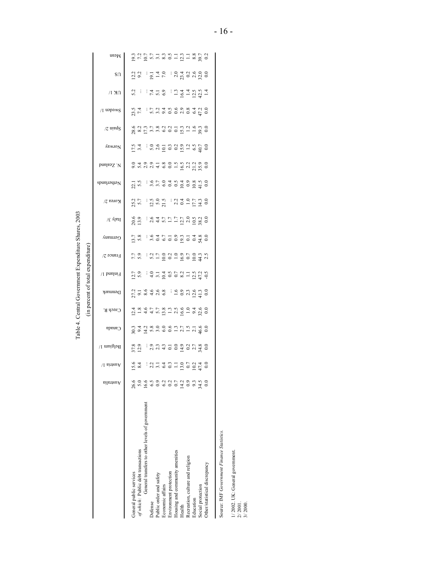Table 4. Central Government Expenditure Shares, 2003 Table 4. Central Government Expenditure Shares, 2003

(in percent of total expenditure) (in percent of total expenditure)

| Mean                    |                         | $\begin{array}{l} 23.7 \\ 25.7 \\ 26.7 \\ 27.7 \\ 28.7 \\ 29.7 \\ 21.7 \\ 23.7 \\ 24.7 \\ 25.7 \\ 26.7 \\ 27.7 \\ 28.7 \\ 29.7 \\ 20.7 \\ 21.7 \\ 23.7 \\ 24.7 \\ 25.7 \\ 26.7 \\ 27.7 \\ 28.7 \\ 29.7 \\ 29.7 \\ 20.7 \\ 20.7 \\ 27.7 \\ 28.7 \\ 29.7 \\ 29.7 \\ 29.7 \\ 29.7 \\ 29.7 \\ 29.7 \\ 29.7 \\ 29$ |                                                 |                |                                                                                                                                                                                                                                                                                                                                                               |                  |                        |                                 |        |                                          |           |                   |                               |
|-------------------------|-------------------------|---------------------------------------------------------------------------------------------------------------------------------------------------------------------------------------------------------------------------------------------------------------------------------------------------------------|-------------------------------------------------|----------------|---------------------------------------------------------------------------------------------------------------------------------------------------------------------------------------------------------------------------------------------------------------------------------------------------------------------------------------------------------------|------------------|------------------------|---------------------------------|--------|------------------------------------------|-----------|-------------------|-------------------------------|
| S <sub>0</sub>          |                         | $\frac{2.2}{9.2}$                                                                                                                                                                                                                                                                                             |                                                 |                | $\frac{1}{9}$ $\frac{1}{4}$ $\frac{4}{7}$                                                                                                                                                                                                                                                                                                                     |                  |                        |                                 |        | $3,3,4$<br>$2,4,5$<br>$3,5,6$<br>$3,5,6$ |           |                   |                               |
| $\Omega$ K I            | 5.2                     | ÷                                                                                                                                                                                                                                                                                                             |                                                 |                | 7.100                                                                                                                                                                                                                                                                                                                                                         |                  |                        |                                 |        | $124.7994$<br>$-24.7994$                 |           |                   |                               |
| /I uəpəмS               |                         | $23.5$<br>7.4                                                                                                                                                                                                                                                                                                 |                                                 |                | 5.7149998409                                                                                                                                                                                                                                                                                                                                                  |                  |                        |                                 |        |                                          |           |                   |                               |
| $\chi$ uieds            |                         |                                                                                                                                                                                                                                                                                                               |                                                 |                |                                                                                                                                                                                                                                                                                                                                                               |                  |                        |                                 |        |                                          |           |                   |                               |
| yorway                  |                         | 17.5                                                                                                                                                                                                                                                                                                          |                                                 |                |                                                                                                                                                                                                                                                                                                                                                               |                  |                        |                                 |        |                                          |           |                   |                               |
| bnslasS. V              |                         |                                                                                                                                                                                                                                                                                                               |                                                 |                |                                                                                                                                                                                                                                                                                                                                                               |                  |                        |                                 |        |                                          |           |                   |                               |
| Netherlands             |                         | 22.1                                                                                                                                                                                                                                                                                                          |                                                 |                | $\frac{16}{25}$ $\frac{25}{25}$ $\frac{25}{25}$ $\frac{25}{25}$ $\frac{25}{25}$ $\frac{25}{25}$ $\frac{25}{25}$ $\frac{25}{25}$                                                                                                                                                                                                                               |                  |                        |                                 |        |                                          |           |                   |                               |
| Korea 2/                |                         | 25.7<br>5.7                                                                                                                                                                                                                                                                                                   |                                                 |                | $12.59$ $21.79$ $22.79$ $23.79$ $24.9$ $25.79$ $26.79$ $27.79$ $28.79$ $29.79$ $21.79$ $22.79$                                                                                                                                                                                                                                                                |                  |                        |                                 |        |                                          |           |                   |                               |
| $\sqrt{\epsilon}$ ylstl |                         | 20.6<br>13.9                                                                                                                                                                                                                                                                                                  |                                                 |                | $\begin{array}{c} 1.64 \times 1.75 \times 1.0000 \\ 2.44 \times 1.75 \times 1.0000 \\ 2.44 \times 1.75 \times 1.0000 \\ 2.44 \times 1.75 \times 1.0000 \\ 2.44 \times 1.75 \times 1.0000 \\ 2.44 \times 1.75 \times 1.0000 \\ 2.44 \times 1.75 \times 1.0000 \\ 2.44 \times 1.75 \times 1.0000 \\ 2.44 \times 1.75 \times 1.0000 \\ 2.44 \times 1.75 \times $ |                  |                        |                                 |        |                                          |           |                   |                               |
| $G$ ermany              |                         | $\frac{13.7}{5.8}$                                                                                                                                                                                                                                                                                            |                                                 |                | 8355995380                                                                                                                                                                                                                                                                                                                                                    |                  |                        |                                 |        |                                          |           |                   |                               |
| France $2/$             |                         | 7.7                                                                                                                                                                                                                                                                                                           |                                                 |                | i 3 1 1 2 3 4 5 6 7 7 8 7<br>I 3 1 2 3 4 5 6 7 9 7 8                                                                                                                                                                                                                                                                                                          |                  |                        |                                 |        |                                          |           |                   |                               |
| Finland 1/              |                         | $\frac{12.7}{5.9}$                                                                                                                                                                                                                                                                                            |                                                 |                | $= 3.7380827808$                                                                                                                                                                                                                                                                                                                                              |                  |                        |                                 |        |                                          |           |                   |                               |
| Denmark                 |                         | $27.58448$ : 49934479                                                                                                                                                                                                                                                                                         |                                                 |                |                                                                                                                                                                                                                                                                                                                                                               |                  |                        |                                 |        |                                          |           |                   |                               |
| Czech R.                |                         | $\vec{a}$ = $\vec{a}$ + $\vec{a}$ = $\vec{a}$ = $\vec{a}$ = $\vec{a}$ = $\vec{a}$ = $\vec{a}$ = $\vec{a}$ = $\vec{a}$ = $\vec{a}$ = $\vec{a}$ = $\vec{a}$ = $\vec{a}$ = $\vec{a}$ = $\vec{a}$ = $\vec{a}$ = $\vec{a}$ = $\vec{a}$ = $\vec{a}$ = $\vec{a}$ = $\vec{a}$ =                                       |                                                 |                |                                                                                                                                                                                                                                                                                                                                                               |                  |                        |                                 |        |                                          |           |                   |                               |
| Canada                  |                         | 8 9 4 5 6 9 6 6 7 7 7 7 8 9 9<br>8 9 4 5 6 9 6 7 8 7 9 9 9                                                                                                                                                                                                                                                    |                                                 |                |                                                                                                                                                                                                                                                                                                                                                               |                  |                        |                                 |        |                                          |           |                   |                               |
| Belgium 1/              |                         | 37.8<br>12.9                                                                                                                                                                                                                                                                                                  |                                                 |                | 3.7772997780                                                                                                                                                                                                                                                                                                                                                  |                  |                        |                                 |        |                                          |           |                   |                               |
| /I sinauA               |                         | $\frac{15.6}{8.4}$                                                                                                                                                                                                                                                                                            |                                                 |                | 37.753195270                                                                                                                                                                                                                                                                                                                                                  |                  |                        |                                 |        |                                          |           |                   |                               |
| Australia               | 26.6                    |                                                                                                                                                                                                                                                                                                               | 6.6                                             |                | $\overline{0}$ .                                                                                                                                                                                                                                                                                                                                              | 6.2              |                        |                                 |        | $\frac{14.2}{0.9}$                       |           | 34.5              |                               |
|                         | General public services | of which: Public debt transactions                                                                                                                                                                                                                                                                            | General transfers to other levels of government | <b>Defense</b> | ublic order and safety                                                                                                                                                                                                                                                                                                                                        | Economic affairs | Environment protection | Housing and community amenities | Health | Recreation, culture and religion         | Education | Social protection | Other/statistical discrepancy |

Source: IMF Government Finance Statistics. Source: IMF *Government Finance Statistics.*

1/ 2002. UK: General government. 2/ 2001. 3/ 2000.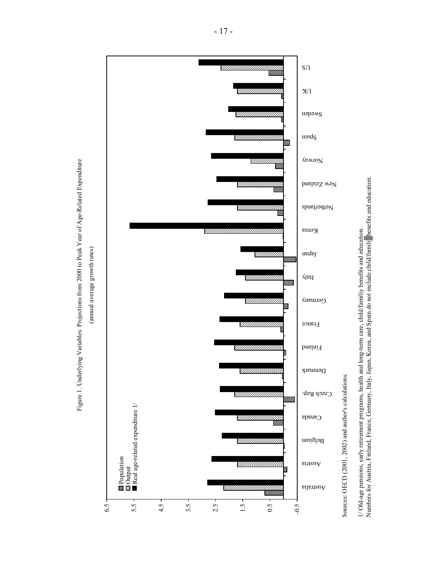